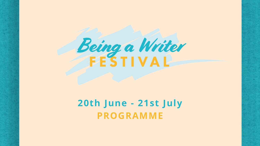# Being a Writer

# **20th June - 21st July PROGRAMME**

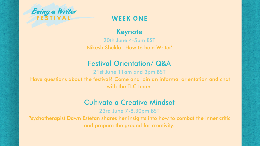### Keynote

20th June 4-5pm BST Nikesh Shukla: 'How to be a Writer'

21st June 11am and 3pm BST Have questions about the festival? Come and join an informal orientation and chat with the **TLC** team

# Festival Orientation/ Q&A

### Cultivate a Creative Mindset

23rd June 7-8.30pm BST Psychotherapist Dawn Estefan shares her insights into how to combat the inner critic and prepare the ground for creativity.

- 
- 
- 



### **WEEK ONE**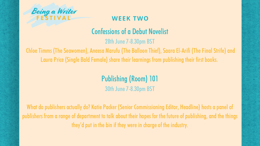Publishing(Room) 101 30th June 7-8.30pm BST

What do publishers actually do? Katie Packer (Senior Commissioning Editor, Headline) hosts a panel of publishers from a range of department to talk about their hopes for the future of publishing, and the things they'd put in the bin if they were in charge of the industry.



### **WEEK TWO**

# **Confessions of a Debut Novelist**

28th June 7-8.30pm BST

Chloe Timms (The Seawomen), Aneesa Marufu (The Balloon Thief), Saara El-Arifi (The Final Strife) and Laura Price (Single Bald Female) share their learnings from publishing their first books.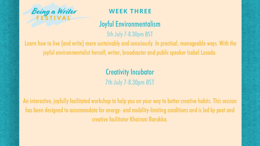# Joyful Environmentalism

5th July 7-8.30pm BST

Learn how to live (and write) more sustainably and consciously. In practical, manageable ways. With the joyful environmentalist herself, writer, broadcaster and public speaker Isabel Losada.

> Creativity Incubator 7th July 7-8.30pm BST

An interactive, joyfully facilitated workshop to help you on your way to better creative habits. This session has been designed to accommodate for energy- and mobility-limiting conditions and is led by poet and creative facilitator Khairani Barokka.



### **WEEK THREE**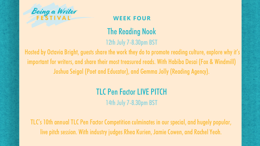

### **WEEK FOUR**

# The Reading Nook 12th July 7-8.30pm BST

Hosted by Octavia Bright, guests share the work they do to promote reading culture, explore why it's important for writers, and share their most treasured reads. With Habiba Desai (Fox & Windmill) Joshua Seigal (Poet and Educator), and Gemma Jolly (Reading Agency).

# **TLC Pen Factor LIVE PITCH** 14th July 7-8.30pm BST

TLC's 10th annual TLC Pen Factor Competition culminates in our special, and hugely popular, live pitch session. With industry judges Rhea Kurien, Jamie Cowen, and Rachel Yeoh.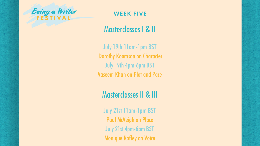# Masterclasses I & II

July 19th 11am-1pm BST Dorothy Koomson on Character July 19th 4pm-6pm BST Vaseem Khan on Plot and Pace

# Masterclasses II & III

July 21st 11am-1pm BST Paul McVeigh on Place July 21st 4pm-6pm BST Monique Roffey on Voice





### **WEEK FIVE**